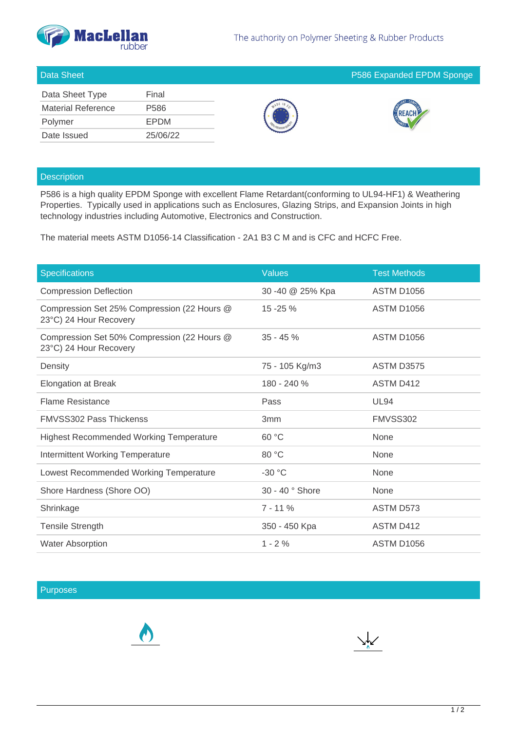

| Data Sheet Type           | Final       |
|---------------------------|-------------|
| <b>Material Reference</b> | P586        |
| Polymer                   | <b>EPDM</b> |
| Date Issued               | 25/06/22    |







## **Description**

P586 is a high quality EPDM Sponge with excellent Flame Retardant(conforming to UL94-HF1) & Weathering Properties. Typically used in applications such as Enclosures, Glazing Strips, and Expansion Joints in high technology industries including Automotive, Electronics and Construction.

The material meets ASTM D1056-14 Classification - 2A1 B3 C M and is CFC and HCFC Free.

| <b>Specifications</b>                                                 | <b>Values</b>    | <b>Test Methods</b> |
|-----------------------------------------------------------------------|------------------|---------------------|
| <b>Compression Deflection</b>                                         | 30 -40 @ 25% Kpa | <b>ASTM D1056</b>   |
| Compression Set 25% Compression (22 Hours @<br>23°C) 24 Hour Recovery | $15 - 25 \%$     | <b>ASTM D1056</b>   |
| Compression Set 50% Compression (22 Hours @<br>23°C) 24 Hour Recovery | $35 - 45%$       | <b>ASTM D1056</b>   |
| Density                                                               | 75 - 105 Kg/m3   | <b>ASTM D3575</b>   |
| <b>Elongation at Break</b>                                            | 180 - 240 %      | ASTM D412           |
| <b>Flame Resistance</b>                                               | Pass             | <b>UL94</b>         |
| <b>FMVSS302 Pass Thickenss</b>                                        | 3 <sub>mm</sub>  | FMVSS302            |
| <b>Highest Recommended Working Temperature</b>                        | 60 °C            | None                |
| Intermittent Working Temperature                                      | 80 °C            | None                |
| Lowest Recommended Working Temperature                                | $-30 °C$         | None                |
| Shore Hardness (Shore OO)                                             | 30 - 40 ° Shore  | None                |
| Shrinkage                                                             | $7 - 11%$        | ASTM D573           |
| <b>Tensile Strength</b>                                               | 350 - 450 Kpa    | ASTM D412           |
| <b>Water Absorption</b>                                               | $1 - 2%$         | <b>ASTM D1056</b>   |

## Purposes